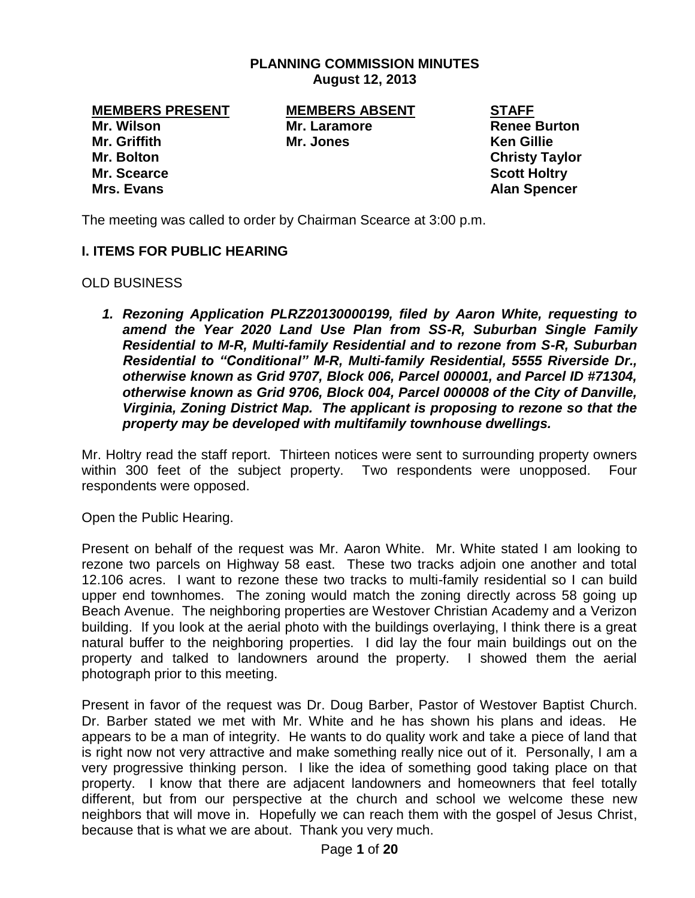#### **PLANNING COMMISSION MINUTES August 12, 2013**

**Mr. Wilson Mr. Laramore Renee Burton Mr. Griffith Mr. Jones Ken Gillie Mr. Bolton Christy Taylor Mr. Scearce Scott Holtry Mrs. Evans Alan Spencer**

**MEMBERS PRESENT MEMBERS ABSENT STAFF**

The meeting was called to order by Chairman Scearce at 3:00 p.m.

### **I. ITEMS FOR PUBLIC HEARING**

OLD BUSINESS

*1. Rezoning Application PLRZ20130000199, filed by Aaron White, requesting to amend the Year 2020 Land Use Plan from SS-R, Suburban Single Family Residential to M-R, Multi-family Residential and to rezone from S-R, Suburban Residential to "Conditional" M-R, Multi-family Residential, 5555 Riverside Dr., otherwise known as Grid 9707, Block 006, Parcel 000001, and Parcel ID #71304, otherwise known as Grid 9706, Block 004, Parcel 000008 of the City of Danville, Virginia, Zoning District Map. The applicant is proposing to rezone so that the property may be developed with multifamily townhouse dwellings.* 

Mr. Holtry read the staff report. Thirteen notices were sent to surrounding property owners within 300 feet of the subject property. Two respondents were unopposed. Four respondents were opposed.

Open the Public Hearing.

Present on behalf of the request was Mr. Aaron White. Mr. White stated I am looking to rezone two parcels on Highway 58 east. These two tracks adjoin one another and total 12.106 acres. I want to rezone these two tracks to multi-family residential so I can build upper end townhomes. The zoning would match the zoning directly across 58 going up Beach Avenue. The neighboring properties are Westover Christian Academy and a Verizon building. If you look at the aerial photo with the buildings overlaying, I think there is a great natural buffer to the neighboring properties. I did lay the four main buildings out on the property and talked to landowners around the property. I showed them the aerial photograph prior to this meeting.

Present in favor of the request was Dr. Doug Barber, Pastor of Westover Baptist Church. Dr. Barber stated we met with Mr. White and he has shown his plans and ideas. He appears to be a man of integrity. He wants to do quality work and take a piece of land that is right now not very attractive and make something really nice out of it. Personally, I am a very progressive thinking person. I like the idea of something good taking place on that property. I know that there are adjacent landowners and homeowners that feel totally different, but from our perspective at the church and school we welcome these new neighbors that will move in. Hopefully we can reach them with the gospel of Jesus Christ, because that is what we are about. Thank you very much.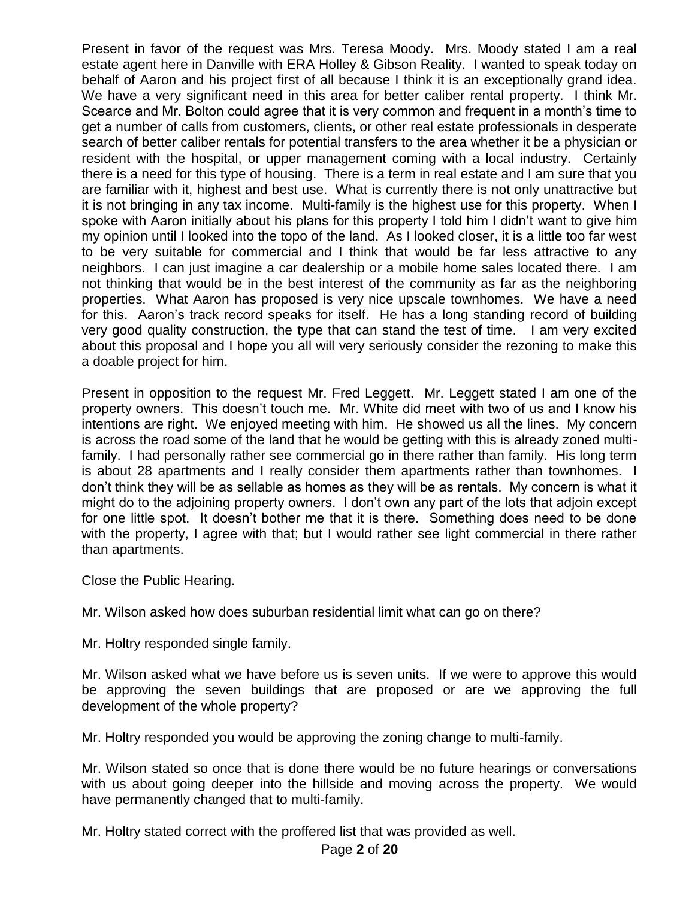Present in favor of the request was Mrs. Teresa Moody. Mrs. Moody stated I am a real estate agent here in Danville with ERA Holley & Gibson Reality. I wanted to speak today on behalf of Aaron and his project first of all because I think it is an exceptionally grand idea. We have a very significant need in this area for better caliber rental property. I think Mr. Scearce and Mr. Bolton could agree that it is very common and frequent in a month's time to get a number of calls from customers, clients, or other real estate professionals in desperate search of better caliber rentals for potential transfers to the area whether it be a physician or resident with the hospital, or upper management coming with a local industry. Certainly there is a need for this type of housing. There is a term in real estate and I am sure that you are familiar with it, highest and best use. What is currently there is not only unattractive but it is not bringing in any tax income. Multi-family is the highest use for this property. When I spoke with Aaron initially about his plans for this property I told him I didn't want to give him my opinion until I looked into the topo of the land. As I looked closer, it is a little too far west to be very suitable for commercial and I think that would be far less attractive to any neighbors. I can just imagine a car dealership or a mobile home sales located there. I am not thinking that would be in the best interest of the community as far as the neighboring properties. What Aaron has proposed is very nice upscale townhomes. We have a need for this. Aaron's track record speaks for itself. He has a long standing record of building very good quality construction, the type that can stand the test of time. I am very excited about this proposal and I hope you all will very seriously consider the rezoning to make this a doable project for him.

Present in opposition to the request Mr. Fred Leggett. Mr. Leggett stated I am one of the property owners. This doesn't touch me. Mr. White did meet with two of us and I know his intentions are right. We enjoyed meeting with him. He showed us all the lines. My concern is across the road some of the land that he would be getting with this is already zoned multifamily. I had personally rather see commercial go in there rather than family. His long term is about 28 apartments and I really consider them apartments rather than townhomes. I don't think they will be as sellable as homes as they will be as rentals. My concern is what it might do to the adjoining property owners. I don't own any part of the lots that adjoin except for one little spot. It doesn't bother me that it is there. Something does need to be done with the property, I agree with that; but I would rather see light commercial in there rather than apartments.

Close the Public Hearing.

Mr. Wilson asked how does suburban residential limit what can go on there?

Mr. Holtry responded single family.

Mr. Wilson asked what we have before us is seven units. If we were to approve this would be approving the seven buildings that are proposed or are we approving the full development of the whole property?

Mr. Holtry responded you would be approving the zoning change to multi-family.

Mr. Wilson stated so once that is done there would be no future hearings or conversations with us about going deeper into the hillside and moving across the property. We would have permanently changed that to multi-family.

Mr. Holtry stated correct with the proffered list that was provided as well.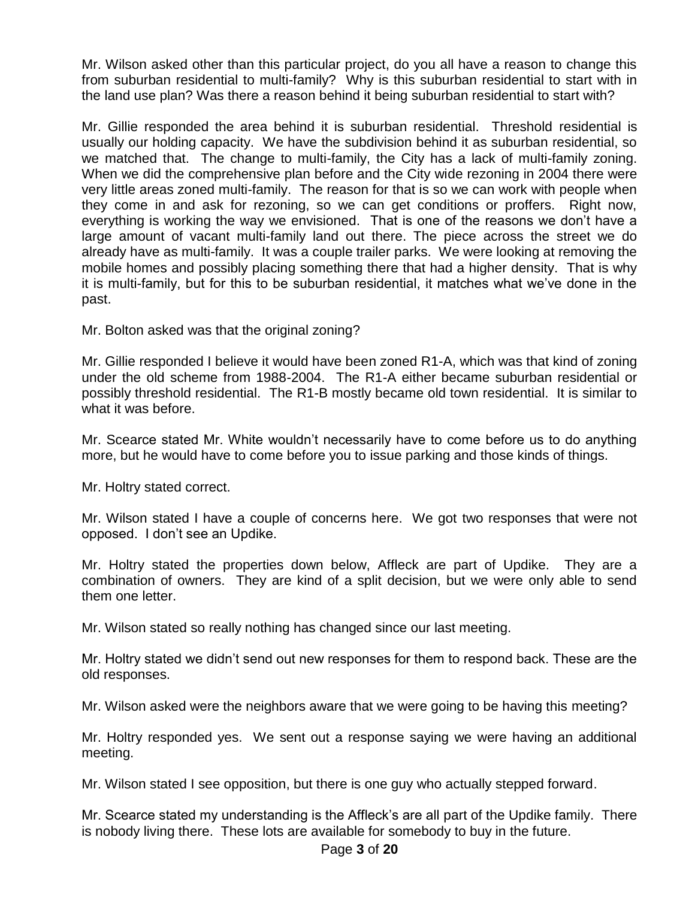Mr. Wilson asked other than this particular project, do you all have a reason to change this from suburban residential to multi-family? Why is this suburban residential to start with in the land use plan? Was there a reason behind it being suburban residential to start with?

Mr. Gillie responded the area behind it is suburban residential. Threshold residential is usually our holding capacity. We have the subdivision behind it as suburban residential, so we matched that. The change to multi-family, the City has a lack of multi-family zoning. When we did the comprehensive plan before and the City wide rezoning in 2004 there were very little areas zoned multi-family. The reason for that is so we can work with people when they come in and ask for rezoning, so we can get conditions or proffers. Right now, everything is working the way we envisioned. That is one of the reasons we don't have a large amount of vacant multi-family land out there. The piece across the street we do already have as multi-family. It was a couple trailer parks. We were looking at removing the mobile homes and possibly placing something there that had a higher density. That is why it is multi-family, but for this to be suburban residential, it matches what we've done in the past.

Mr. Bolton asked was that the original zoning?

Mr. Gillie responded I believe it would have been zoned R1-A, which was that kind of zoning under the old scheme from 1988-2004. The R1-A either became suburban residential or possibly threshold residential. The R1-B mostly became old town residential. It is similar to what it was before.

Mr. Scearce stated Mr. White wouldn't necessarily have to come before us to do anything more, but he would have to come before you to issue parking and those kinds of things.

Mr. Holtry stated correct.

Mr. Wilson stated I have a couple of concerns here. We got two responses that were not opposed. I don't see an Updike.

Mr. Holtry stated the properties down below, Affleck are part of Updike. They are a combination of owners. They are kind of a split decision, but we were only able to send them one letter.

Mr. Wilson stated so really nothing has changed since our last meeting.

Mr. Holtry stated we didn't send out new responses for them to respond back. These are the old responses.

Mr. Wilson asked were the neighbors aware that we were going to be having this meeting?

Mr. Holtry responded yes. We sent out a response saying we were having an additional meeting.

Mr. Wilson stated I see opposition, but there is one guy who actually stepped forward.

Mr. Scearce stated my understanding is the Affleck's are all part of the Updike family. There is nobody living there. These lots are available for somebody to buy in the future.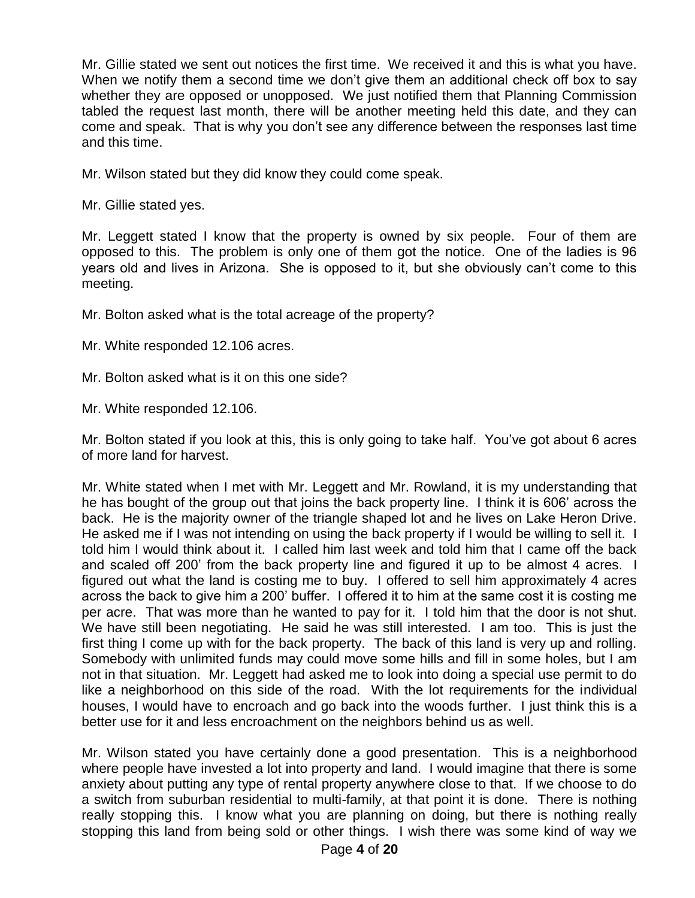Mr. Gillie stated we sent out notices the first time. We received it and this is what you have. When we notify them a second time we don't give them an additional check off box to say whether they are opposed or unopposed. We just notified them that Planning Commission tabled the request last month, there will be another meeting held this date, and they can come and speak. That is why you don't see any difference between the responses last time and this time.

Mr. Wilson stated but they did know they could come speak.

Mr. Gillie stated yes.

Mr. Leggett stated I know that the property is owned by six people. Four of them are opposed to this. The problem is only one of them got the notice. One of the ladies is 96 years old and lives in Arizona. She is opposed to it, but she obviously can't come to this meeting.

Mr. Bolton asked what is the total acreage of the property?

Mr. White responded 12.106 acres.

Mr. Bolton asked what is it on this one side?

Mr. White responded 12.106.

Mr. Bolton stated if you look at this, this is only going to take half. You've got about 6 acres of more land for harvest.

Mr. White stated when I met with Mr. Leggett and Mr. Rowland, it is my understanding that he has bought of the group out that joins the back property line. I think it is 606' across the back. He is the majority owner of the triangle shaped lot and he lives on Lake Heron Drive. He asked me if I was not intending on using the back property if I would be willing to sell it. I told him I would think about it. I called him last week and told him that I came off the back and scaled off 200' from the back property line and figured it up to be almost 4 acres. I figured out what the land is costing me to buy. I offered to sell him approximately 4 acres across the back to give him a 200' buffer. I offered it to him at the same cost it is costing me per acre. That was more than he wanted to pay for it. I told him that the door is not shut. We have still been negotiating. He said he was still interested. I am too. This is just the first thing I come up with for the back property. The back of this land is very up and rolling. Somebody with unlimited funds may could move some hills and fill in some holes, but I am not in that situation. Mr. Leggett had asked me to look into doing a special use permit to do like a neighborhood on this side of the road. With the lot requirements for the individual houses, I would have to encroach and go back into the woods further. I just think this is a better use for it and less encroachment on the neighbors behind us as well.

Mr. Wilson stated you have certainly done a good presentation. This is a neighborhood where people have invested a lot into property and land. I would imagine that there is some anxiety about putting any type of rental property anywhere close to that. If we choose to do a switch from suburban residential to multi-family, at that point it is done. There is nothing really stopping this. I know what you are planning on doing, but there is nothing really stopping this land from being sold or other things. I wish there was some kind of way we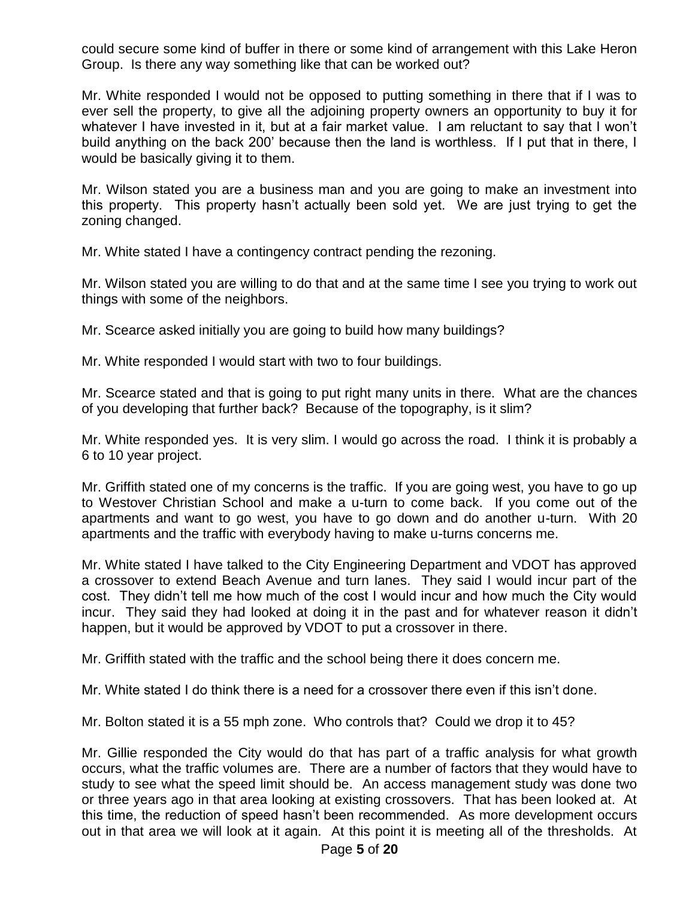could secure some kind of buffer in there or some kind of arrangement with this Lake Heron Group. Is there any way something like that can be worked out?

Mr. White responded I would not be opposed to putting something in there that if I was to ever sell the property, to give all the adjoining property owners an opportunity to buy it for whatever I have invested in it, but at a fair market value. I am reluctant to say that I won't build anything on the back 200' because then the land is worthless. If I put that in there, I would be basically giving it to them.

Mr. Wilson stated you are a business man and you are going to make an investment into this property. This property hasn't actually been sold yet. We are just trying to get the zoning changed.

Mr. White stated I have a contingency contract pending the rezoning.

Mr. Wilson stated you are willing to do that and at the same time I see you trying to work out things with some of the neighbors.

Mr. Scearce asked initially you are going to build how many buildings?

Mr. White responded I would start with two to four buildings.

Mr. Scearce stated and that is going to put right many units in there. What are the chances of you developing that further back? Because of the topography, is it slim?

Mr. White responded yes. It is very slim. I would go across the road. I think it is probably a 6 to 10 year project.

Mr. Griffith stated one of my concerns is the traffic. If you are going west, you have to go up to Westover Christian School and make a u-turn to come back. If you come out of the apartments and want to go west, you have to go down and do another u-turn. With 20 apartments and the traffic with everybody having to make u-turns concerns me.

Mr. White stated I have talked to the City Engineering Department and VDOT has approved a crossover to extend Beach Avenue and turn lanes. They said I would incur part of the cost. They didn't tell me how much of the cost I would incur and how much the City would incur. They said they had looked at doing it in the past and for whatever reason it didn't happen, but it would be approved by VDOT to put a crossover in there.

Mr. Griffith stated with the traffic and the school being there it does concern me.

Mr. White stated I do think there is a need for a crossover there even if this isn't done.

Mr. Bolton stated it is a 55 mph zone. Who controls that? Could we drop it to 45?

Mr. Gillie responded the City would do that has part of a traffic analysis for what growth occurs, what the traffic volumes are. There are a number of factors that they would have to study to see what the speed limit should be. An access management study was done two or three years ago in that area looking at existing crossovers. That has been looked at. At this time, the reduction of speed hasn't been recommended. As more development occurs out in that area we will look at it again. At this point it is meeting all of the thresholds. At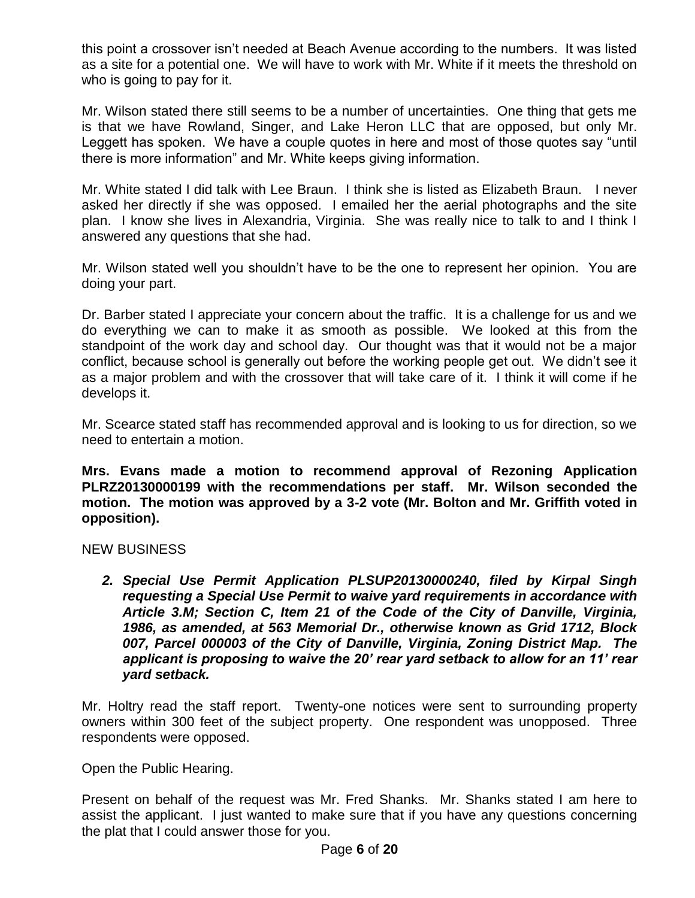this point a crossover isn't needed at Beach Avenue according to the numbers. It was listed as a site for a potential one. We will have to work with Mr. White if it meets the threshold on who is going to pay for it.

Mr. Wilson stated there still seems to be a number of uncertainties. One thing that gets me is that we have Rowland, Singer, and Lake Heron LLC that are opposed, but only Mr. Leggett has spoken. We have a couple quotes in here and most of those quotes say "until there is more information" and Mr. White keeps giving information.

Mr. White stated I did talk with Lee Braun. I think she is listed as Elizabeth Braun. I never asked her directly if she was opposed. I emailed her the aerial photographs and the site plan. I know she lives in Alexandria, Virginia. She was really nice to talk to and I think I answered any questions that she had.

Mr. Wilson stated well you shouldn't have to be the one to represent her opinion. You are doing your part.

Dr. Barber stated I appreciate your concern about the traffic. It is a challenge for us and we do everything we can to make it as smooth as possible. We looked at this from the standpoint of the work day and school day. Our thought was that it would not be a major conflict, because school is generally out before the working people get out. We didn't see it as a major problem and with the crossover that will take care of it. I think it will come if he develops it.

Mr. Scearce stated staff has recommended approval and is looking to us for direction, so we need to entertain a motion.

**Mrs. Evans made a motion to recommend approval of Rezoning Application PLRZ20130000199 with the recommendations per staff. Mr. Wilson seconded the motion. The motion was approved by a 3-2 vote (Mr. Bolton and Mr. Griffith voted in opposition).** 

#### NEW BUSINESS

*2. Special Use Permit Application PLSUP20130000240, filed by Kirpal Singh requesting a Special Use Permit to waive yard requirements in accordance with Article 3.M; Section C, Item 21 of the Code of the City of Danville, Virginia, 1986, as amended, at 563 Memorial Dr., otherwise known as Grid 1712, Block 007, Parcel 000003 of the City of Danville, Virginia, Zoning District Map. The applicant is proposing to waive the 20' rear yard setback to allow for an 11' rear yard setback.* 

Mr. Holtry read the staff report. Twenty-one notices were sent to surrounding property owners within 300 feet of the subject property. One respondent was unopposed. Three respondents were opposed.

Open the Public Hearing.

Present on behalf of the request was Mr. Fred Shanks. Mr. Shanks stated I am here to assist the applicant. I just wanted to make sure that if you have any questions concerning the plat that I could answer those for you.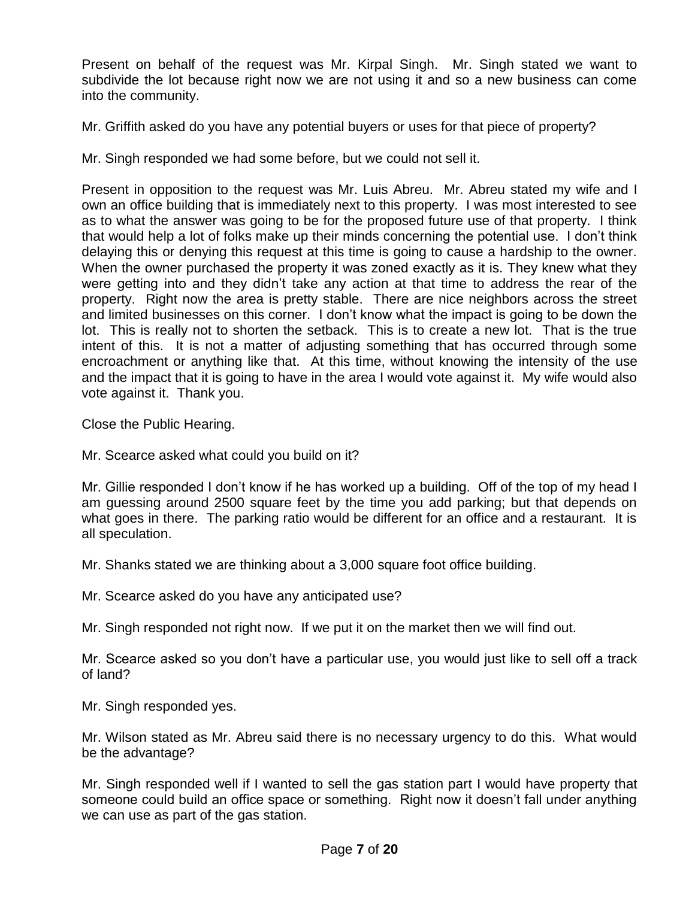Present on behalf of the request was Mr. Kirpal Singh. Mr. Singh stated we want to subdivide the lot because right now we are not using it and so a new business can come into the community.

Mr. Griffith asked do you have any potential buyers or uses for that piece of property?

Mr. Singh responded we had some before, but we could not sell it.

Present in opposition to the request was Mr. Luis Abreu. Mr. Abreu stated my wife and I own an office building that is immediately next to this property. I was most interested to see as to what the answer was going to be for the proposed future use of that property. I think that would help a lot of folks make up their minds concerning the potential use. I don't think delaying this or denying this request at this time is going to cause a hardship to the owner. When the owner purchased the property it was zoned exactly as it is. They knew what they were getting into and they didn't take any action at that time to address the rear of the property. Right now the area is pretty stable. There are nice neighbors across the street and limited businesses on this corner. I don't know what the impact is going to be down the lot. This is really not to shorten the setback. This is to create a new lot. That is the true intent of this. It is not a matter of adjusting something that has occurred through some encroachment or anything like that. At this time, without knowing the intensity of the use and the impact that it is going to have in the area I would vote against it. My wife would also vote against it. Thank you.

Close the Public Hearing.

Mr. Scearce asked what could you build on it?

Mr. Gillie responded I don't know if he has worked up a building. Off of the top of my head I am guessing around 2500 square feet by the time you add parking; but that depends on what goes in there. The parking ratio would be different for an office and a restaurant. It is all speculation.

Mr. Shanks stated we are thinking about a 3,000 square foot office building.

Mr. Scearce asked do you have any anticipated use?

Mr. Singh responded not right now. If we put it on the market then we will find out.

Mr. Scearce asked so you don't have a particular use, you would just like to sell off a track of land?

Mr. Singh responded yes.

Mr. Wilson stated as Mr. Abreu said there is no necessary urgency to do this. What would be the advantage?

Mr. Singh responded well if I wanted to sell the gas station part I would have property that someone could build an office space or something. Right now it doesn't fall under anything we can use as part of the gas station.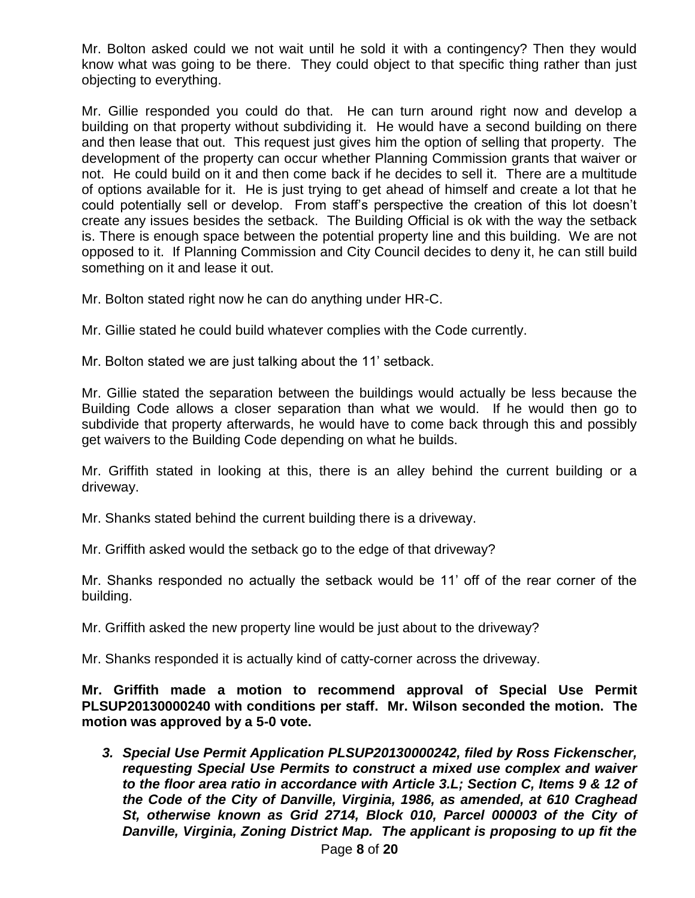Mr. Bolton asked could we not wait until he sold it with a contingency? Then they would know what was going to be there. They could object to that specific thing rather than just objecting to everything.

Mr. Gillie responded you could do that. He can turn around right now and develop a building on that property without subdividing it. He would have a second building on there and then lease that out. This request just gives him the option of selling that property. The development of the property can occur whether Planning Commission grants that waiver or not. He could build on it and then come back if he decides to sell it. There are a multitude of options available for it. He is just trying to get ahead of himself and create a lot that he could potentially sell or develop. From staff's perspective the creation of this lot doesn't create any issues besides the setback. The Building Official is ok with the way the setback is. There is enough space between the potential property line and this building. We are not opposed to it. If Planning Commission and City Council decides to deny it, he can still build something on it and lease it out.

Mr. Bolton stated right now he can do anything under HR-C.

Mr. Gillie stated he could build whatever complies with the Code currently.

Mr. Bolton stated we are just talking about the 11' setback.

Mr. Gillie stated the separation between the buildings would actually be less because the Building Code allows a closer separation than what we would. If he would then go to subdivide that property afterwards, he would have to come back through this and possibly get waivers to the Building Code depending on what he builds.

Mr. Griffith stated in looking at this, there is an alley behind the current building or a driveway.

Mr. Shanks stated behind the current building there is a driveway.

Mr. Griffith asked would the setback go to the edge of that driveway?

Mr. Shanks responded no actually the setback would be 11' off of the rear corner of the building.

Mr. Griffith asked the new property line would be just about to the driveway?

Mr. Shanks responded it is actually kind of catty-corner across the driveway.

**Mr. Griffith made a motion to recommend approval of Special Use Permit PLSUP20130000240 with conditions per staff. Mr. Wilson seconded the motion. The motion was approved by a 5-0 vote.** 

*3. Special Use Permit Application PLSUP20130000242, filed by Ross Fickenscher, requesting Special Use Permits to construct a mixed use complex and waiver to the floor area ratio in accordance with Article 3.L; Section C, Items 9 & 12 of the Code of the City of Danville, Virginia, 1986, as amended, at 610 Craghead St, otherwise known as Grid 2714, Block 010, Parcel 000003 of the City of Danville, Virginia, Zoning District Map. The applicant is proposing to up fit the*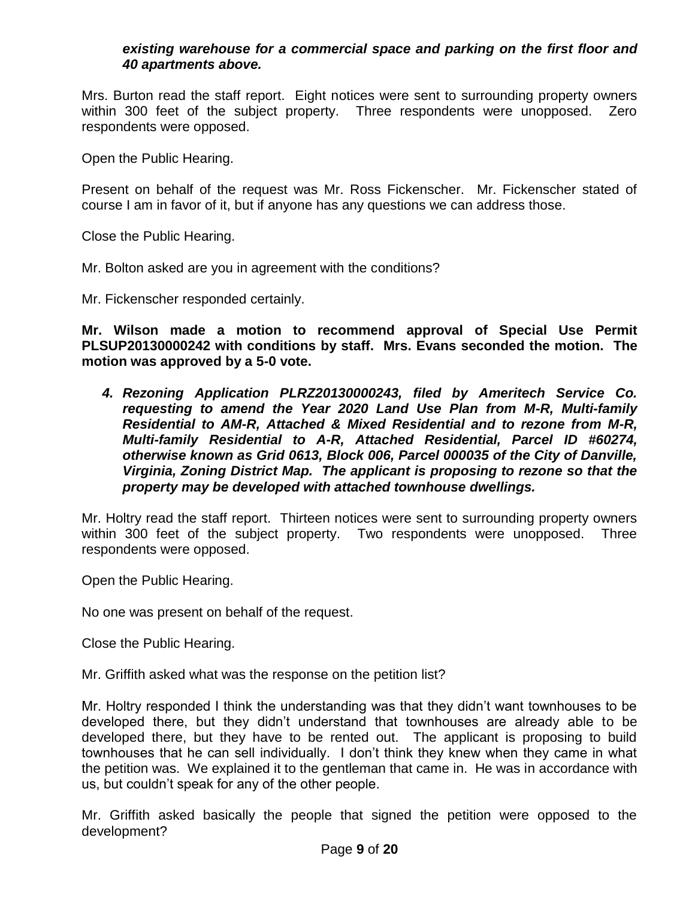## *existing warehouse for a commercial space and parking on the first floor and 40 apartments above.*

Mrs. Burton read the staff report. Eight notices were sent to surrounding property owners within 300 feet of the subject property. Three respondents were unopposed. Zero respondents were opposed.

Open the Public Hearing.

Present on behalf of the request was Mr. Ross Fickenscher. Mr. Fickenscher stated of course I am in favor of it, but if anyone has any questions we can address those.

Close the Public Hearing.

Mr. Bolton asked are you in agreement with the conditions?

Mr. Fickenscher responded certainly.

**Mr. Wilson made a motion to recommend approval of Special Use Permit PLSUP20130000242 with conditions by staff. Mrs. Evans seconded the motion. The motion was approved by a 5-0 vote.** 

*4. Rezoning Application PLRZ20130000243, filed by Ameritech Service Co. requesting to amend the Year 2020 Land Use Plan from M-R, Multi-family Residential to AM-R, Attached & Mixed Residential and to rezone from M-R, Multi-family Residential to A-R, Attached Residential, Parcel ID #60274, otherwise known as Grid 0613, Block 006, Parcel 000035 of the City of Danville, Virginia, Zoning District Map. The applicant is proposing to rezone so that the property may be developed with attached townhouse dwellings.* 

Mr. Holtry read the staff report. Thirteen notices were sent to surrounding property owners within 300 feet of the subject property. Two respondents were unopposed. Three respondents were opposed.

Open the Public Hearing.

No one was present on behalf of the request.

Close the Public Hearing.

Mr. Griffith asked what was the response on the petition list?

Mr. Holtry responded I think the understanding was that they didn't want townhouses to be developed there, but they didn't understand that townhouses are already able to be developed there, but they have to be rented out. The applicant is proposing to build townhouses that he can sell individually. I don't think they knew when they came in what the petition was. We explained it to the gentleman that came in. He was in accordance with us, but couldn't speak for any of the other people.

Mr. Griffith asked basically the people that signed the petition were opposed to the development?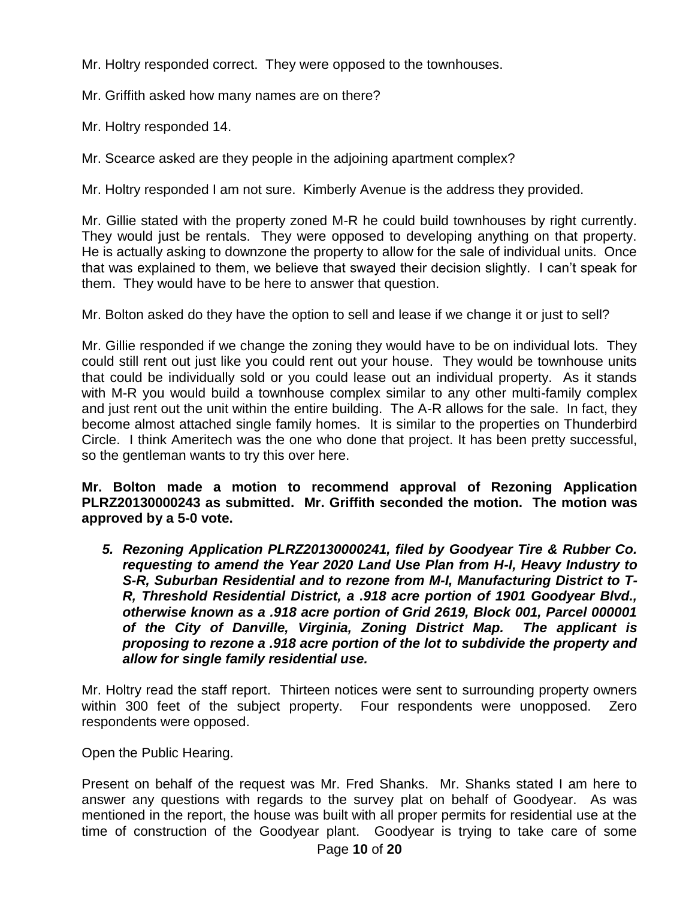Mr. Holtry responded correct. They were opposed to the townhouses.

Mr. Griffith asked how many names are on there?

Mr. Holtry responded 14.

Mr. Scearce asked are they people in the adjoining apartment complex?

Mr. Holtry responded I am not sure. Kimberly Avenue is the address they provided.

Mr. Gillie stated with the property zoned M-R he could build townhouses by right currently. They would just be rentals. They were opposed to developing anything on that property. He is actually asking to downzone the property to allow for the sale of individual units. Once that was explained to them, we believe that swayed their decision slightly. I can't speak for them. They would have to be here to answer that question.

Mr. Bolton asked do they have the option to sell and lease if we change it or just to sell?

Mr. Gillie responded if we change the zoning they would have to be on individual lots. They could still rent out just like you could rent out your house. They would be townhouse units that could be individually sold or you could lease out an individual property. As it stands with M-R you would build a townhouse complex similar to any other multi-family complex and just rent out the unit within the entire building. The A-R allows for the sale. In fact, they become almost attached single family homes. It is similar to the properties on Thunderbird Circle. I think Ameritech was the one who done that project. It has been pretty successful, so the gentleman wants to try this over here.

**Mr. Bolton made a motion to recommend approval of Rezoning Application PLRZ20130000243 as submitted. Mr. Griffith seconded the motion. The motion was approved by a 5-0 vote.** 

*5. Rezoning Application PLRZ20130000241, filed by Goodyear Tire & Rubber Co. requesting to amend the Year 2020 Land Use Plan from H-I, Heavy Industry to S-R, Suburban Residential and to rezone from M-I, Manufacturing District to T-R, Threshold Residential District, a .918 acre portion of 1901 Goodyear Blvd., otherwise known as a .918 acre portion of Grid 2619, Block 001, Parcel 000001 of the City of Danville, Virginia, Zoning District Map. The applicant is proposing to rezone a .918 acre portion of the lot to subdivide the property and allow for single family residential use.* 

Mr. Holtry read the staff report. Thirteen notices were sent to surrounding property owners within 300 feet of the subject property. Four respondents were unopposed. Zero respondents were opposed.

Open the Public Hearing.

Present on behalf of the request was Mr. Fred Shanks. Mr. Shanks stated I am here to answer any questions with regards to the survey plat on behalf of Goodyear. As was mentioned in the report, the house was built with all proper permits for residential use at the time of construction of the Goodyear plant. Goodyear is trying to take care of some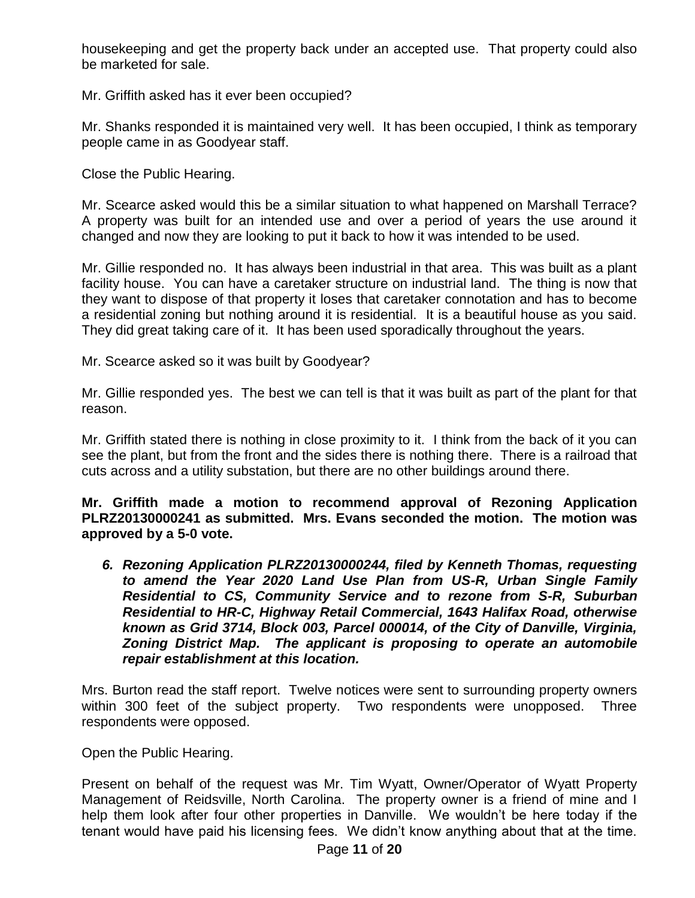housekeeping and get the property back under an accepted use. That property could also be marketed for sale.

Mr. Griffith asked has it ever been occupied?

Mr. Shanks responded it is maintained very well. It has been occupied, I think as temporary people came in as Goodyear staff.

Close the Public Hearing.

Mr. Scearce asked would this be a similar situation to what happened on Marshall Terrace? A property was built for an intended use and over a period of years the use around it changed and now they are looking to put it back to how it was intended to be used.

Mr. Gillie responded no. It has always been industrial in that area. This was built as a plant facility house. You can have a caretaker structure on industrial land. The thing is now that they want to dispose of that property it loses that caretaker connotation and has to become a residential zoning but nothing around it is residential. It is a beautiful house as you said. They did great taking care of it. It has been used sporadically throughout the years.

Mr. Scearce asked so it was built by Goodyear?

Mr. Gillie responded yes. The best we can tell is that it was built as part of the plant for that reason.

Mr. Griffith stated there is nothing in close proximity to it. I think from the back of it you can see the plant, but from the front and the sides there is nothing there. There is a railroad that cuts across and a utility substation, but there are no other buildings around there.

**Mr. Griffith made a motion to recommend approval of Rezoning Application PLRZ20130000241 as submitted. Mrs. Evans seconded the motion. The motion was approved by a 5-0 vote.** 

*6. Rezoning Application PLRZ20130000244, filed by Kenneth Thomas, requesting to amend the Year 2020 Land Use Plan from US-R, Urban Single Family Residential to CS, Community Service and to rezone from S-R, Suburban Residential to HR-C, Highway Retail Commercial, 1643 Halifax Road, otherwise known as Grid 3714, Block 003, Parcel 000014, of the City of Danville, Virginia, Zoning District Map. The applicant is proposing to operate an automobile repair establishment at this location.* 

Mrs. Burton read the staff report. Twelve notices were sent to surrounding property owners within 300 feet of the subject property. Two respondents were unopposed. Three respondents were opposed.

Open the Public Hearing.

Present on behalf of the request was Mr. Tim Wyatt, Owner/Operator of Wyatt Property Management of Reidsville, North Carolina. The property owner is a friend of mine and I help them look after four other properties in Danville. We wouldn't be here today if the tenant would have paid his licensing fees. We didn't know anything about that at the time.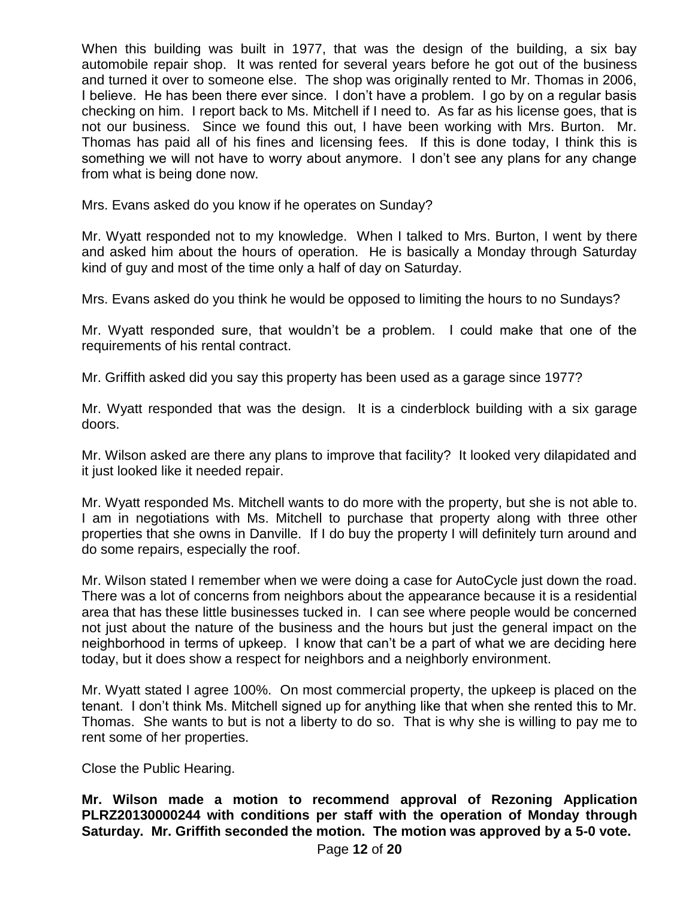When this building was built in 1977, that was the design of the building, a six bay automobile repair shop. It was rented for several years before he got out of the business and turned it over to someone else. The shop was originally rented to Mr. Thomas in 2006, I believe. He has been there ever since. I don't have a problem. I go by on a regular basis checking on him. I report back to Ms. Mitchell if I need to. As far as his license goes, that is not our business. Since we found this out, I have been working with Mrs. Burton. Mr. Thomas has paid all of his fines and licensing fees. If this is done today, I think this is something we will not have to worry about anymore. I don't see any plans for any change from what is being done now.

Mrs. Evans asked do you know if he operates on Sunday?

Mr. Wyatt responded not to my knowledge. When I talked to Mrs. Burton, I went by there and asked him about the hours of operation. He is basically a Monday through Saturday kind of guy and most of the time only a half of day on Saturday.

Mrs. Evans asked do you think he would be opposed to limiting the hours to no Sundays?

Mr. Wyatt responded sure, that wouldn't be a problem. I could make that one of the requirements of his rental contract.

Mr. Griffith asked did you say this property has been used as a garage since 1977?

Mr. Wyatt responded that was the design. It is a cinderblock building with a six garage doors.

Mr. Wilson asked are there any plans to improve that facility? It looked very dilapidated and it just looked like it needed repair.

Mr. Wyatt responded Ms. Mitchell wants to do more with the property, but she is not able to. I am in negotiations with Ms. Mitchell to purchase that property along with three other properties that she owns in Danville. If I do buy the property I will definitely turn around and do some repairs, especially the roof.

Mr. Wilson stated I remember when we were doing a case for AutoCycle just down the road. There was a lot of concerns from neighbors about the appearance because it is a residential area that has these little businesses tucked in. I can see where people would be concerned not just about the nature of the business and the hours but just the general impact on the neighborhood in terms of upkeep. I know that can't be a part of what we are deciding here today, but it does show a respect for neighbors and a neighborly environment.

Mr. Wyatt stated I agree 100%. On most commercial property, the upkeep is placed on the tenant. I don't think Ms. Mitchell signed up for anything like that when she rented this to Mr. Thomas. She wants to but is not a liberty to do so. That is why she is willing to pay me to rent some of her properties.

Close the Public Hearing.

**Mr. Wilson made a motion to recommend approval of Rezoning Application PLRZ20130000244 with conditions per staff with the operation of Monday through Saturday. Mr. Griffith seconded the motion. The motion was approved by a 5-0 vote.**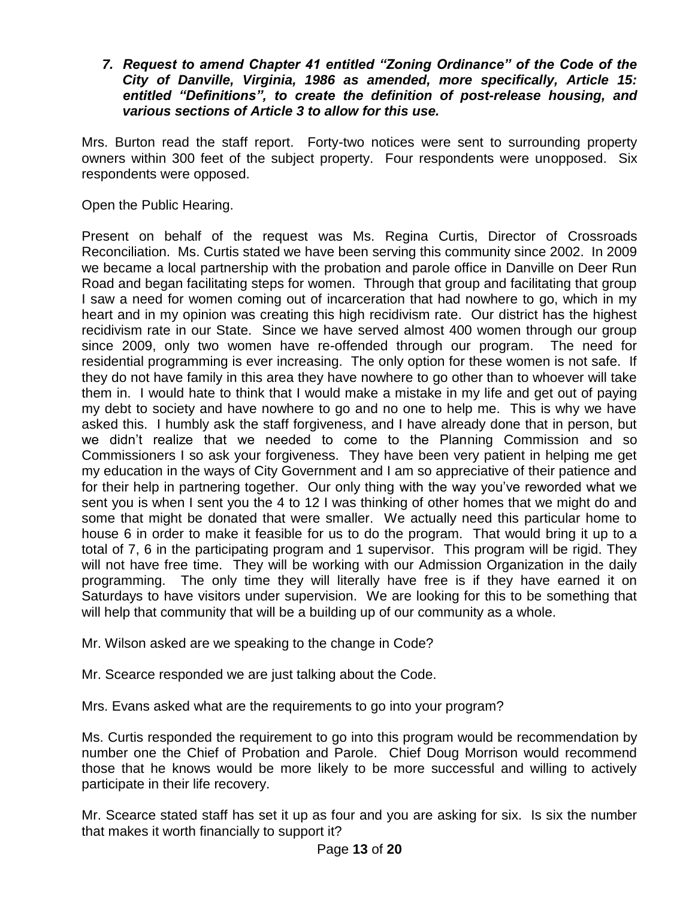## *7. Request to amend Chapter 41 entitled "Zoning Ordinance" of the Code of the City of Danville, Virginia, 1986 as amended, more specifically, Article 15: entitled "Definitions", to create the definition of post-release housing, and various sections of Article 3 to allow for this use.*

Mrs. Burton read the staff report. Forty-two notices were sent to surrounding property owners within 300 feet of the subject property. Four respondents were unopposed. Six respondents were opposed.

Open the Public Hearing.

Present on behalf of the request was Ms. Regina Curtis, Director of Crossroads Reconciliation. Ms. Curtis stated we have been serving this community since 2002. In 2009 we became a local partnership with the probation and parole office in Danville on Deer Run Road and began facilitating steps for women. Through that group and facilitating that group I saw a need for women coming out of incarceration that had nowhere to go, which in my heart and in my opinion was creating this high recidivism rate. Our district has the highest recidivism rate in our State. Since we have served almost 400 women through our group since 2009, only two women have re-offended through our program. The need for residential programming is ever increasing. The only option for these women is not safe. If they do not have family in this area they have nowhere to go other than to whoever will take them in. I would hate to think that I would make a mistake in my life and get out of paying my debt to society and have nowhere to go and no one to help me. This is why we have asked this. I humbly ask the staff forgiveness, and I have already done that in person, but we didn't realize that we needed to come to the Planning Commission and so Commissioners I so ask your forgiveness. They have been very patient in helping me get my education in the ways of City Government and I am so appreciative of their patience and for their help in partnering together. Our only thing with the way you've reworded what we sent you is when I sent you the 4 to 12 I was thinking of other homes that we might do and some that might be donated that were smaller. We actually need this particular home to house 6 in order to make it feasible for us to do the program. That would bring it up to a total of 7, 6 in the participating program and 1 supervisor. This program will be rigid. They will not have free time. They will be working with our Admission Organization in the daily programming. The only time they will literally have free is if they have earned it on Saturdays to have visitors under supervision. We are looking for this to be something that will help that community that will be a building up of our community as a whole.

Mr. Wilson asked are we speaking to the change in Code?

Mr. Scearce responded we are just talking about the Code.

Mrs. Evans asked what are the requirements to go into your program?

Ms. Curtis responded the requirement to go into this program would be recommendation by number one the Chief of Probation and Parole. Chief Doug Morrison would recommend those that he knows would be more likely to be more successful and willing to actively participate in their life recovery.

Mr. Scearce stated staff has set it up as four and you are asking for six. Is six the number that makes it worth financially to support it?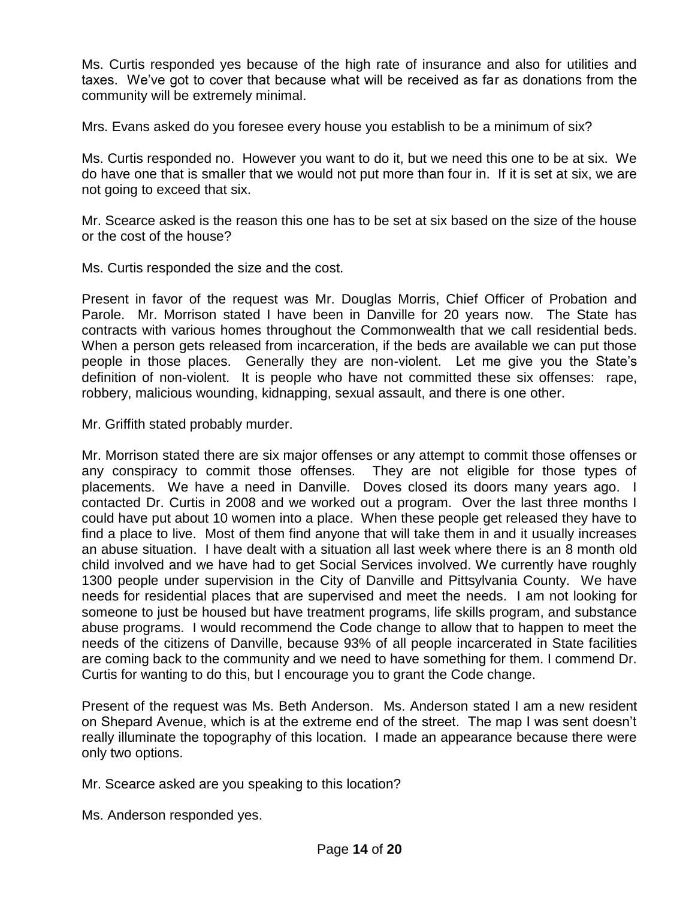Ms. Curtis responded yes because of the high rate of insurance and also for utilities and taxes. We've got to cover that because what will be received as far as donations from the community will be extremely minimal.

Mrs. Evans asked do you foresee every house you establish to be a minimum of six?

Ms. Curtis responded no. However you want to do it, but we need this one to be at six. We do have one that is smaller that we would not put more than four in. If it is set at six, we are not going to exceed that six.

Mr. Scearce asked is the reason this one has to be set at six based on the size of the house or the cost of the house?

Ms. Curtis responded the size and the cost.

Present in favor of the request was Mr. Douglas Morris, Chief Officer of Probation and Parole. Mr. Morrison stated I have been in Danville for 20 years now. The State has contracts with various homes throughout the Commonwealth that we call residential beds. When a person gets released from incarceration, if the beds are available we can put those people in those places. Generally they are non-violent. Let me give you the State's definition of non-violent. It is people who have not committed these six offenses: rape, robbery, malicious wounding, kidnapping, sexual assault, and there is one other.

Mr. Griffith stated probably murder.

Mr. Morrison stated there are six major offenses or any attempt to commit those offenses or any conspiracy to commit those offenses. They are not eligible for those types of placements. We have a need in Danville. Doves closed its doors many years ago. I contacted Dr. Curtis in 2008 and we worked out a program. Over the last three months I could have put about 10 women into a place. When these people get released they have to find a place to live. Most of them find anyone that will take them in and it usually increases an abuse situation. I have dealt with a situation all last week where there is an 8 month old child involved and we have had to get Social Services involved. We currently have roughly 1300 people under supervision in the City of Danville and Pittsylvania County. We have needs for residential places that are supervised and meet the needs. I am not looking for someone to just be housed but have treatment programs, life skills program, and substance abuse programs. I would recommend the Code change to allow that to happen to meet the needs of the citizens of Danville, because 93% of all people incarcerated in State facilities are coming back to the community and we need to have something for them. I commend Dr. Curtis for wanting to do this, but I encourage you to grant the Code change.

Present of the request was Ms. Beth Anderson. Ms. Anderson stated I am a new resident on Shepard Avenue, which is at the extreme end of the street. The map I was sent doesn't really illuminate the topography of this location. I made an appearance because there were only two options.

Mr. Scearce asked are you speaking to this location?

Ms. Anderson responded yes.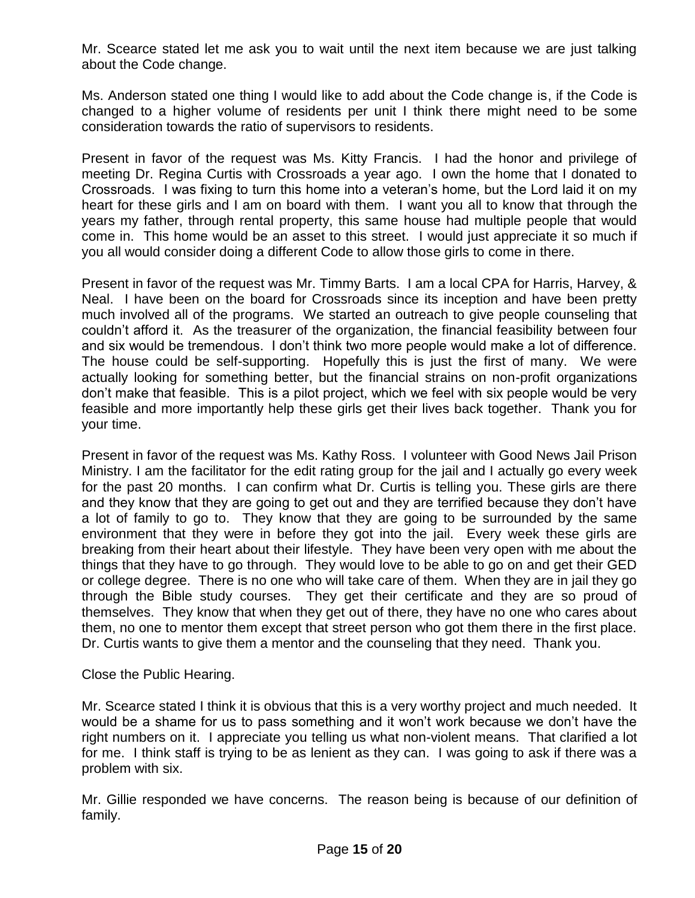Mr. Scearce stated let me ask you to wait until the next item because we are just talking about the Code change.

Ms. Anderson stated one thing I would like to add about the Code change is, if the Code is changed to a higher volume of residents per unit I think there might need to be some consideration towards the ratio of supervisors to residents.

Present in favor of the request was Ms. Kitty Francis. I had the honor and privilege of meeting Dr. Regina Curtis with Crossroads a year ago. I own the home that I donated to Crossroads. I was fixing to turn this home into a veteran's home, but the Lord laid it on my heart for these girls and I am on board with them. I want you all to know that through the years my father, through rental property, this same house had multiple people that would come in. This home would be an asset to this street. I would just appreciate it so much if you all would consider doing a different Code to allow those girls to come in there.

Present in favor of the request was Mr. Timmy Barts. I am a local CPA for Harris, Harvey, & Neal. I have been on the board for Crossroads since its inception and have been pretty much involved all of the programs. We started an outreach to give people counseling that couldn't afford it. As the treasurer of the organization, the financial feasibility between four and six would be tremendous. I don't think two more people would make a lot of difference. The house could be self-supporting. Hopefully this is just the first of many. We were actually looking for something better, but the financial strains on non-profit organizations don't make that feasible. This is a pilot project, which we feel with six people would be very feasible and more importantly help these girls get their lives back together. Thank you for your time.

Present in favor of the request was Ms. Kathy Ross. I volunteer with Good News Jail Prison Ministry. I am the facilitator for the edit rating group for the jail and I actually go every week for the past 20 months. I can confirm what Dr. Curtis is telling you. These girls are there and they know that they are going to get out and they are terrified because they don't have a lot of family to go to. They know that they are going to be surrounded by the same environment that they were in before they got into the jail. Every week these girls are breaking from their heart about their lifestyle. They have been very open with me about the things that they have to go through. They would love to be able to go on and get their GED or college degree. There is no one who will take care of them. When they are in jail they go through the Bible study courses. They get their certificate and they are so proud of themselves. They know that when they get out of there, they have no one who cares about them, no one to mentor them except that street person who got them there in the first place. Dr. Curtis wants to give them a mentor and the counseling that they need. Thank you.

Close the Public Hearing.

Mr. Scearce stated I think it is obvious that this is a very worthy project and much needed. It would be a shame for us to pass something and it won't work because we don't have the right numbers on it. I appreciate you telling us what non-violent means. That clarified a lot for me. I think staff is trying to be as lenient as they can. I was going to ask if there was a problem with six.

Mr. Gillie responded we have concerns. The reason being is because of our definition of family.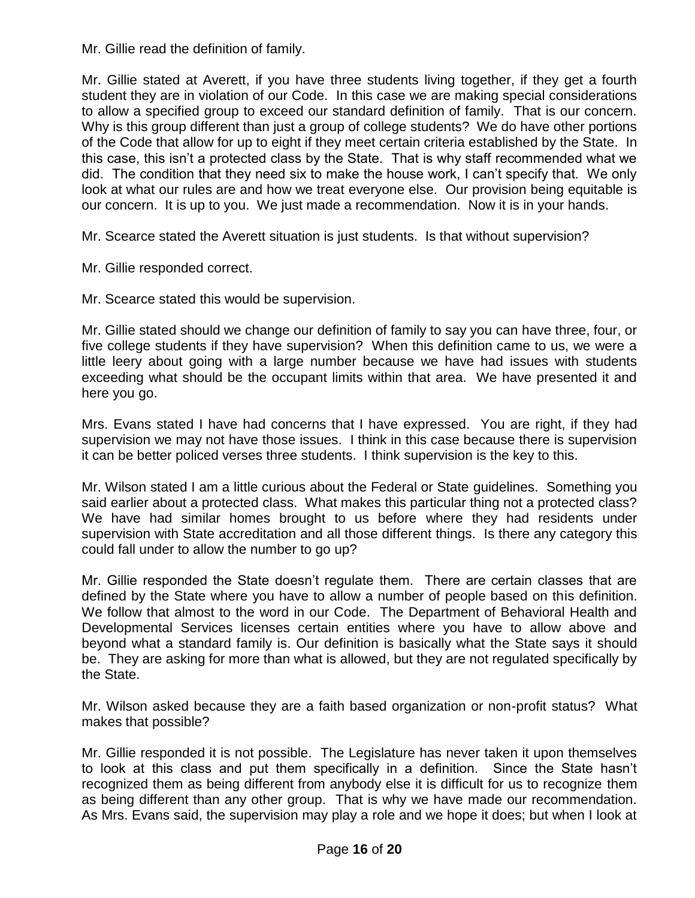Mr. Gillie read the definition of family.

Mr. Gillie stated at Averett, if you have three students living together, if they get a fourth student they are in violation of our Code. In this case we are making special considerations to allow a specified group to exceed our standard definition of family. That is our concern. Why is this group different than just a group of college students? We do have other portions of the Code that allow for up to eight if they meet certain criteria established by the State. In this case, this isn't a protected class by the State. That is why staff recommended what we did. The condition that they need six to make the house work, I can't specify that. We only look at what our rules are and how we treat everyone else. Our provision being equitable is our concern. It is up to you. We just made a recommendation. Now it is in your hands.

Mr. Scearce stated the Averett situation is just students. Is that without supervision?

Mr. Gillie responded correct.

Mr. Scearce stated this would be supervision.

Mr. Gillie stated should we change our definition of family to say you can have three, four, or five college students if they have supervision? When this definition came to us, we were a little leery about going with a large number because we have had issues with students exceeding what should be the occupant limits within that area. We have presented it and here you go.

Mrs. Evans stated I have had concerns that I have expressed. You are right, if they had supervision we may not have those issues. I think in this case because there is supervision it can be better policed verses three students. I think supervision is the key to this.

Mr. Wilson stated I am a little curious about the Federal or State guidelines. Something you said earlier about a protected class. What makes this particular thing not a protected class? We have had similar homes brought to us before where they had residents under supervision with State accreditation and all those different things. Is there any category this could fall under to allow the number to go up?

Mr. Gillie responded the State doesn't regulate them. There are certain classes that are defined by the State where you have to allow a number of people based on this definition. We follow that almost to the word in our Code. The Department of Behavioral Health and Developmental Services licenses certain entities where you have to allow above and beyond what a standard family is. Our definition is basically what the State says it should be. They are asking for more than what is allowed, but they are not regulated specifically by the State.

Mr. Wilson asked because they are a faith based organization or non-profit status? What makes that possible?

Mr. Gillie responded it is not possible. The Legislature has never taken it upon themselves to look at this class and put them specifically in a definition. Since the State hasn't recognized them as being different from anybody else it is difficult for us to recognize them as being different than any other group. That is why we have made our recommendation. As Mrs. Evans said, the supervision may play a role and we hope it does; but when I look at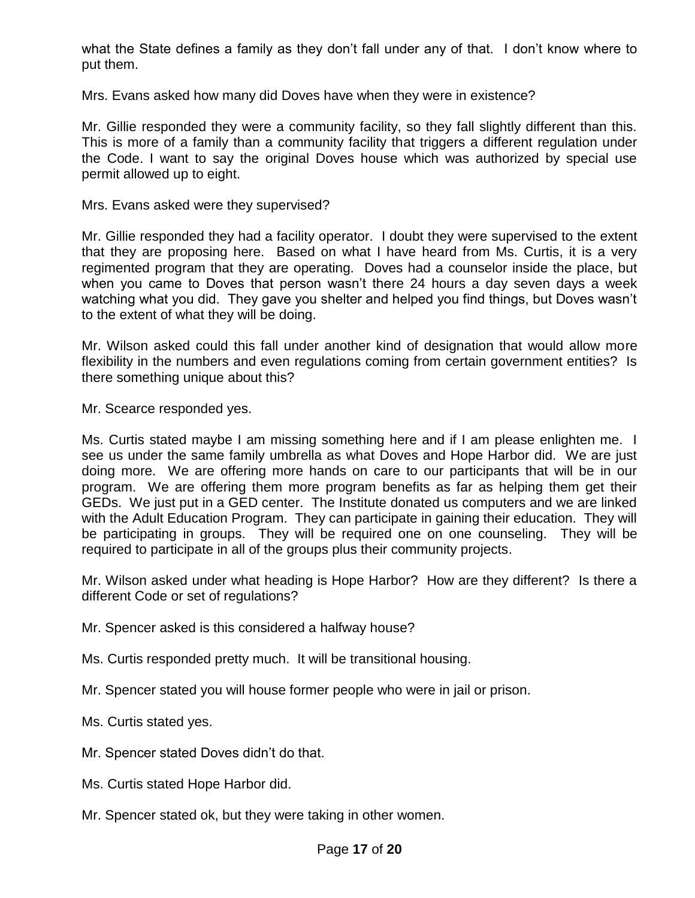what the State defines a family as they don't fall under any of that. I don't know where to put them.

Mrs. Evans asked how many did Doves have when they were in existence?

Mr. Gillie responded they were a community facility, so they fall slightly different than this. This is more of a family than a community facility that triggers a different regulation under the Code. I want to say the original Doves house which was authorized by special use permit allowed up to eight.

Mrs. Evans asked were they supervised?

Mr. Gillie responded they had a facility operator. I doubt they were supervised to the extent that they are proposing here. Based on what I have heard from Ms. Curtis, it is a very regimented program that they are operating. Doves had a counselor inside the place, but when you came to Doves that person wasn't there 24 hours a day seven days a week watching what you did. They gave you shelter and helped you find things, but Doves wasn't to the extent of what they will be doing.

Mr. Wilson asked could this fall under another kind of designation that would allow more flexibility in the numbers and even regulations coming from certain government entities? Is there something unique about this?

Mr. Scearce responded yes.

Ms. Curtis stated maybe I am missing something here and if I am please enlighten me. I see us under the same family umbrella as what Doves and Hope Harbor did. We are just doing more. We are offering more hands on care to our participants that will be in our program. We are offering them more program benefits as far as helping them get their GEDs. We just put in a GED center. The Institute donated us computers and we are linked with the Adult Education Program. They can participate in gaining their education. They will be participating in groups. They will be required one on one counseling. They will be required to participate in all of the groups plus their community projects.

Mr. Wilson asked under what heading is Hope Harbor? How are they different? Is there a different Code or set of regulations?

Mr. Spencer asked is this considered a halfway house?

Ms. Curtis responded pretty much. It will be transitional housing.

Mr. Spencer stated you will house former people who were in jail or prison.

Ms. Curtis stated yes.

Mr. Spencer stated Doves didn't do that.

Ms. Curtis stated Hope Harbor did.

Mr. Spencer stated ok, but they were taking in other women.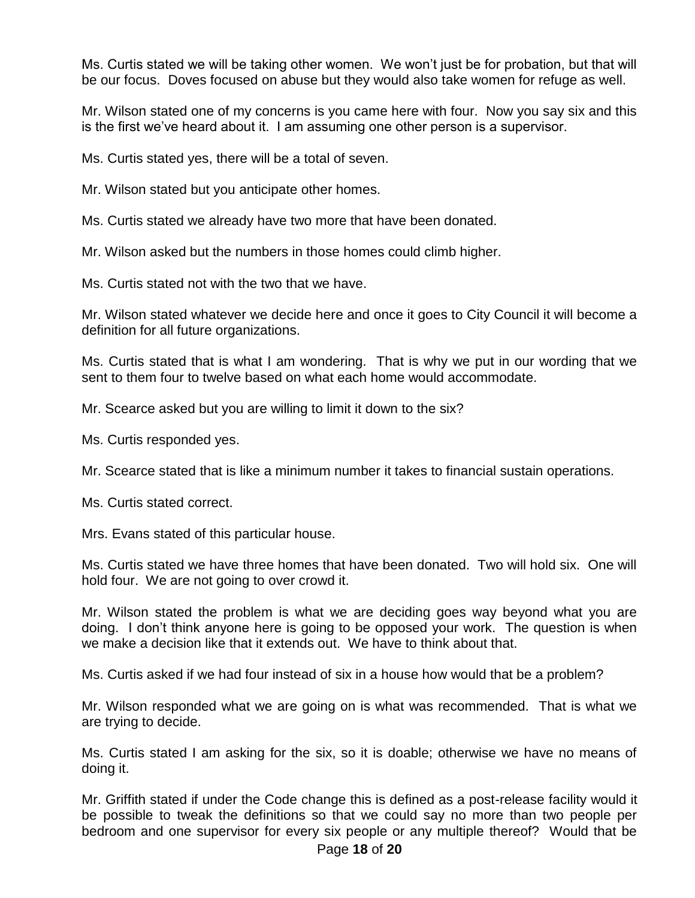Ms. Curtis stated we will be taking other women. We won't just be for probation, but that will be our focus. Doves focused on abuse but they would also take women for refuge as well.

Mr. Wilson stated one of my concerns is you came here with four. Now you say six and this is the first we've heard about it. I am assuming one other person is a supervisor.

Ms. Curtis stated yes, there will be a total of seven.

Mr. Wilson stated but you anticipate other homes.

Ms. Curtis stated we already have two more that have been donated.

Mr. Wilson asked but the numbers in those homes could climb higher.

Ms. Curtis stated not with the two that we have.

Mr. Wilson stated whatever we decide here and once it goes to City Council it will become a definition for all future organizations.

Ms. Curtis stated that is what I am wondering. That is why we put in our wording that we sent to them four to twelve based on what each home would accommodate.

Mr. Scearce asked but you are willing to limit it down to the six?

Ms. Curtis responded yes.

Mr. Scearce stated that is like a minimum number it takes to financial sustain operations.

Ms. Curtis stated correct.

Mrs. Evans stated of this particular house.

Ms. Curtis stated we have three homes that have been donated. Two will hold six. One will hold four. We are not going to over crowd it.

Mr. Wilson stated the problem is what we are deciding goes way beyond what you are doing. I don't think anyone here is going to be opposed your work. The question is when we make a decision like that it extends out. We have to think about that.

Ms. Curtis asked if we had four instead of six in a house how would that be a problem?

Mr. Wilson responded what we are going on is what was recommended. That is what we are trying to decide.

Ms. Curtis stated I am asking for the six, so it is doable; otherwise we have no means of doing it.

Mr. Griffith stated if under the Code change this is defined as a post-release facility would it be possible to tweak the definitions so that we could say no more than two people per bedroom and one supervisor for every six people or any multiple thereof? Would that be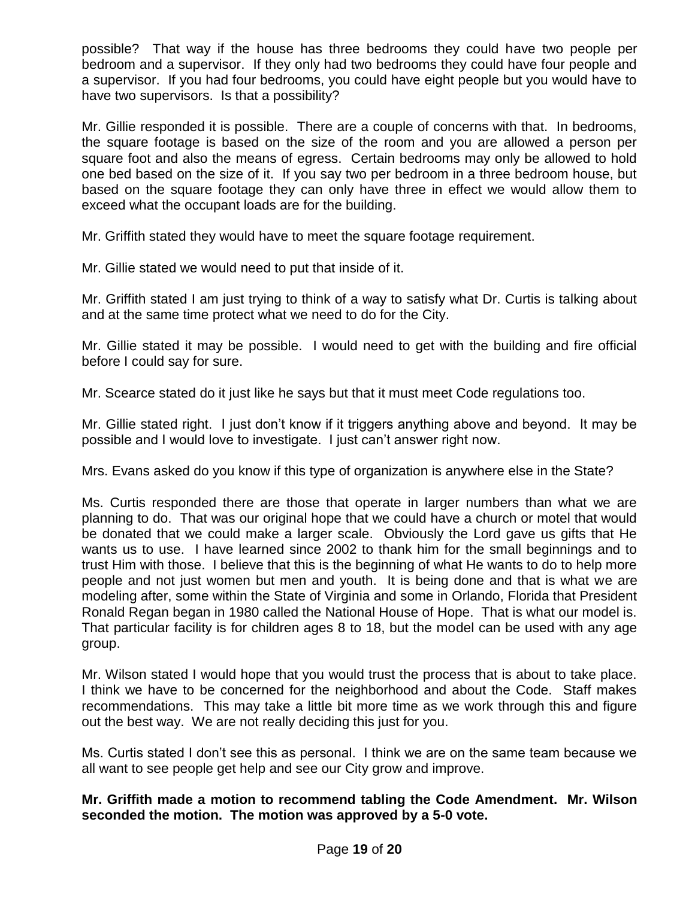possible? That way if the house has three bedrooms they could have two people per bedroom and a supervisor. If they only had two bedrooms they could have four people and a supervisor. If you had four bedrooms, you could have eight people but you would have to have two supervisors. Is that a possibility?

Mr. Gillie responded it is possible. There are a couple of concerns with that. In bedrooms, the square footage is based on the size of the room and you are allowed a person per square foot and also the means of egress. Certain bedrooms may only be allowed to hold one bed based on the size of it. If you say two per bedroom in a three bedroom house, but based on the square footage they can only have three in effect we would allow them to exceed what the occupant loads are for the building.

Mr. Griffith stated they would have to meet the square footage requirement.

Mr. Gillie stated we would need to put that inside of it.

Mr. Griffith stated I am just trying to think of a way to satisfy what Dr. Curtis is talking about and at the same time protect what we need to do for the City.

Mr. Gillie stated it may be possible. I would need to get with the building and fire official before I could say for sure.

Mr. Scearce stated do it just like he says but that it must meet Code regulations too.

Mr. Gillie stated right. I just don't know if it triggers anything above and beyond. It may be possible and I would love to investigate. I just can't answer right now.

Mrs. Evans asked do you know if this type of organization is anywhere else in the State?

Ms. Curtis responded there are those that operate in larger numbers than what we are planning to do. That was our original hope that we could have a church or motel that would be donated that we could make a larger scale. Obviously the Lord gave us gifts that He wants us to use. I have learned since 2002 to thank him for the small beginnings and to trust Him with those. I believe that this is the beginning of what He wants to do to help more people and not just women but men and youth. It is being done and that is what we are modeling after, some within the State of Virginia and some in Orlando, Florida that President Ronald Regan began in 1980 called the National House of Hope. That is what our model is. That particular facility is for children ages 8 to 18, but the model can be used with any age group.

Mr. Wilson stated I would hope that you would trust the process that is about to take place. I think we have to be concerned for the neighborhood and about the Code. Staff makes recommendations. This may take a little bit more time as we work through this and figure out the best way. We are not really deciding this just for you.

Ms. Curtis stated I don't see this as personal. I think we are on the same team because we all want to see people get help and see our City grow and improve.

**Mr. Griffith made a motion to recommend tabling the Code Amendment. Mr. Wilson seconded the motion. The motion was approved by a 5-0 vote.**